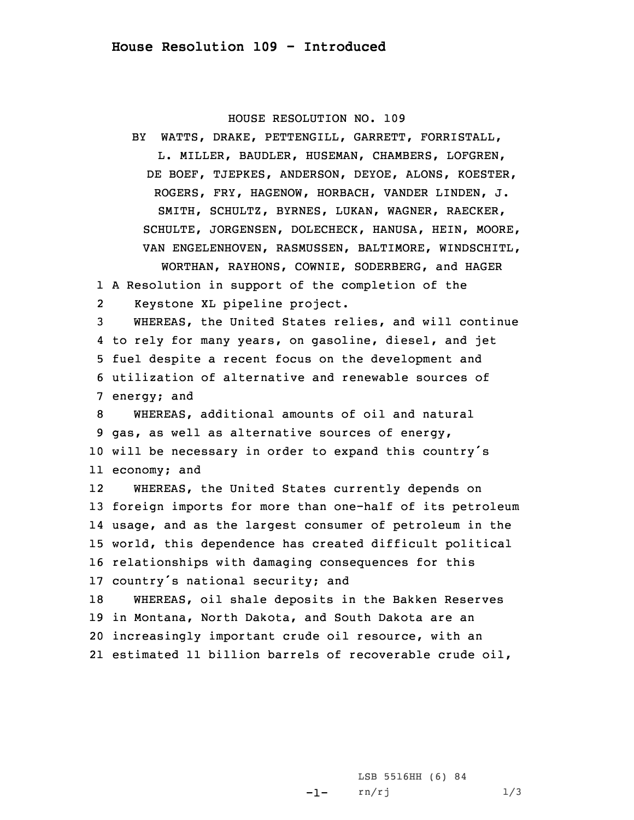## HOUSE RESOLUTION NO. 109

BY WATTS, DRAKE, PETTENGILL, GARRETT, FORRISTALL, L. MILLER, BAUDLER, HUSEMAN, CHAMBERS, LOFGREN, DE BOEF, TJEPKES, ANDERSON, DEYOE, ALONS, KOESTER, ROGERS, FRY, HAGENOW, HORBACH, VANDER LINDEN, J. SMITH, SCHULTZ, BYRNES, LUKAN, WAGNER, RAECKER, SCHULTE, JORGENSEN, DOLECHECK, HANUSA, HEIN, MOORE, VAN ENGELENHOVEN, RASMUSSEN, BALTIMORE, WINDSCHITL, WORTHAN, RAYHONS, COWNIE, SODERBERG, and HAGER

1 <sup>A</sup> Resolution in support of the completion of the 2Keystone XL pipeline project.

 WHEREAS, the United States relies, and will continue to rely for many years, on gasoline, diesel, and jet fuel despite <sup>a</sup> recent focus on the development and utilization of alternative and renewable sources of energy; and

 WHEREAS, additional amounts of oil and natural gas, as well as alternative sources of energy, will be necessary in order to expand this country's economy; and

12 WHEREAS, the United States currently depends on foreign imports for more than one-half of its petroleum usage, and as the largest consumer of petroleum in the world, this dependence has created difficult political relationships with damaging consequences for this country's national security; and WHEREAS, oil shale deposits in the Bakken Reserves

19 in Montana, North Dakota, and South Dakota are an 20 increasingly important crude oil resource, with an 21 estimated 11 billion barrels of recoverable crude oil,

> -1-LSB 5516HH (6) 84 rn/rj 1/3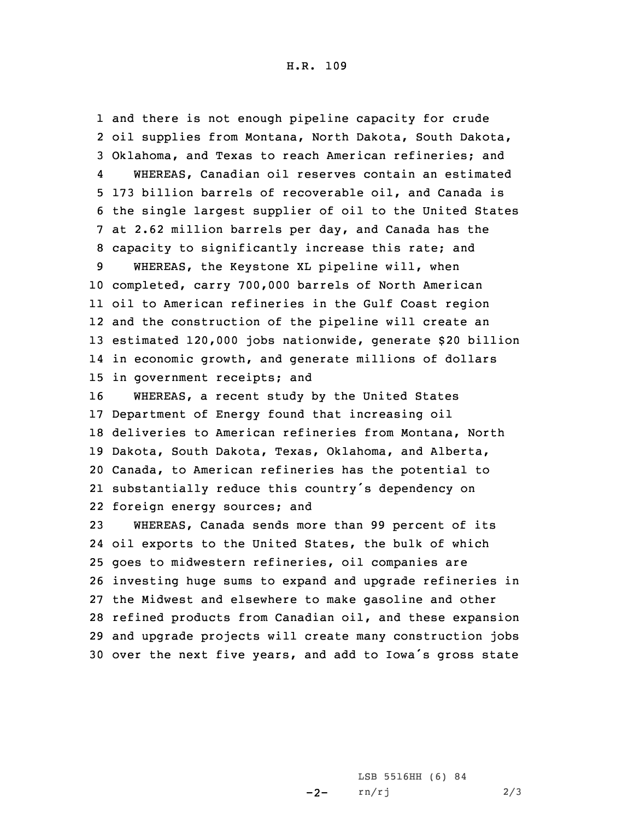H.R. 109

 and there is not enough pipeline capacity for crude oil supplies from Montana, North Dakota, South Dakota, Oklahoma, and Texas to reach American refineries; and 4 WHEREAS, Canadian oil reserves contain an estimated 173 billion barrels of recoverable oil, and Canada is the single largest supplier of oil to the United States at 2.62 million barrels per day, and Canada has the capacity to significantly increase this rate; and WHEREAS, the Keystone XL pipeline will, when completed, carry 700,000 barrels of North American oil to American refineries in the Gulf Coast region and the construction of the pipeline will create an estimated 120,000 jobs nationwide, generate \$20 billion in economic growth, and generate millions of dollars in government receipts; and WHEREAS, <sup>a</sup> recent study by the United States Department of Energy found that increasing oil deliveries to American refineries from Montana, North Dakota, South Dakota, Texas, Oklahoma, and Alberta, Canada, to American refineries has the potential to substantially reduce this country's dependency on foreign energy sources; and WHEREAS, Canada sends more than 99 percent of its oil exports to the United States, the bulk of which goes to midwestern refineries, oil companies are investing huge sums to expand and upgrade refineries in the Midwest and elsewhere to make gasoline and other refined products from Canadian oil, and these expansion and upgrade projects will create many construction jobs

<sup>30</sup> over the next five years, and add to Iowa's gross state

 $-2-$ LSB 5516HH (6) 84 rn/rj 2/3